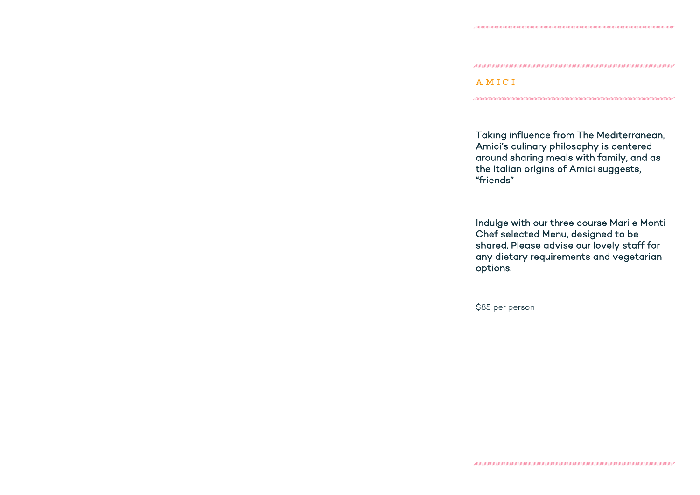# AMICI

Taking influence from The Mediterranean, Amici's culinary philosophy is centered around sharing meals with family, and as the Italian origins of Amici suggests, "friends"

Indulge with our three course Mari e Monti Chef selected Menu, designed to be shared. Please advise our lovely staff for any dietary requirements and vegetarian

options.

\$85 per person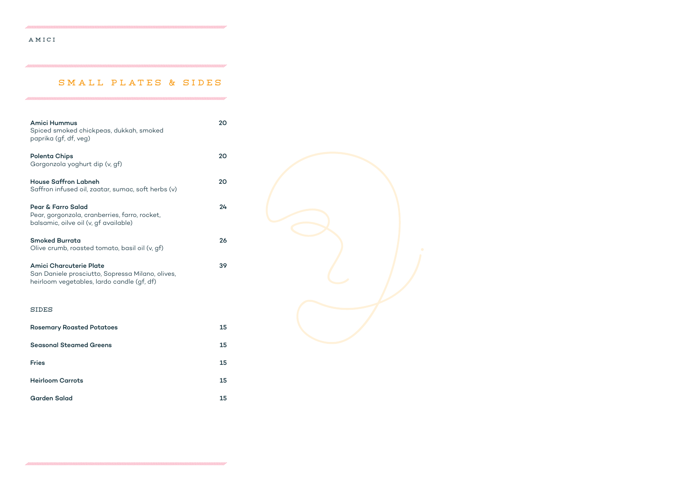### amici

# SMALL PLATES & SIDES

| <b>Amici Hummus</b><br>Spiced smoked chickpeas, dukkah, smoked<br>paprika (gf, df, veg)                                          | 20 |
|----------------------------------------------------------------------------------------------------------------------------------|----|
| <b>Polenta Chips</b><br>Gorgonzola yoghurt dip (v, gf)                                                                           | 20 |
| <b>House Saffron Labneh</b><br>Saffron infused oil, zaatar, sumac, soft herbs (v)                                                | 20 |
| <b>Pear &amp; Farro Salad</b><br>Pear, gorgonzola, cranberries, farro, rocket,<br>balsamic, oilve oil (v, gf available)          | 24 |
| <b>Smoked Burrata</b><br>Olive crumb, roasted tomato, basil oil (v, gf)                                                          | 26 |
| <b>Amici Charcuterie Plate</b><br>San Daniele prosciutto, Sopressa Milano, olives,<br>heirloom vegetables, lardo candle (gf, df) | 39 |
| <b>SIDES</b>                                                                                                                     |    |
| <b>Rosemary Roasted Potatoes</b>                                                                                                 | 15 |
| <b>Seasonal Steamed Greens</b>                                                                                                   | 15 |
| <b>Fries</b>                                                                                                                     | 15 |
| <b>Heirloom Carrots</b>                                                                                                          | 15 |
| <b>Garden Salad</b>                                                                                                              | 15 |

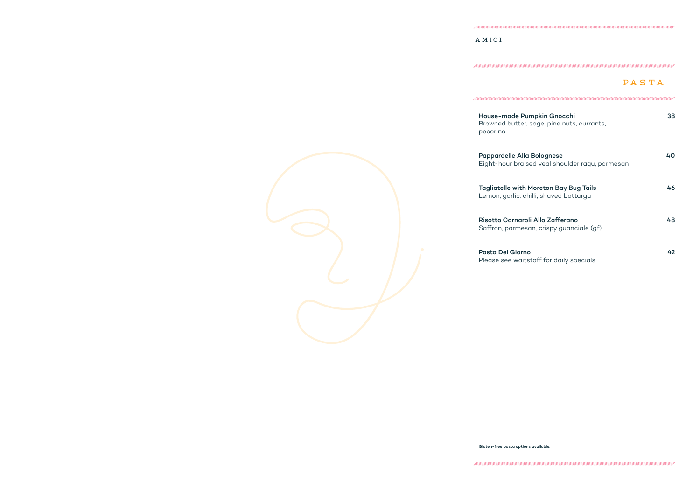#### AMICI

House-made Pur Browned butter, pecorino



| MICI                                                                                    |       |
|-----------------------------------------------------------------------------------------|-------|
|                                                                                         | PASTA |
| House-made Pumpkin Gnocchi<br>Browned butter, sage, pine nuts, currants,<br>pecorino    | 38    |
| <b>Pappardelle Alla Bolognese</b><br>Eight-hour braised veal shoulder ragu, parmesan    | 40    |
| <b>Tagliatelle with Moreton Bay Bug Tails</b><br>Lemon, garlic, chilli, shaved bottarga | 46    |
| Risotto Carnaroli Allo Zafferano<br>Saffron, parmesan, crispy guanciale (gf)            | 48    |
| <b>Pasta Del Giorno</b><br>Please see waitstaff for daily specials                      | 42    |

Gluten-free pasta options available.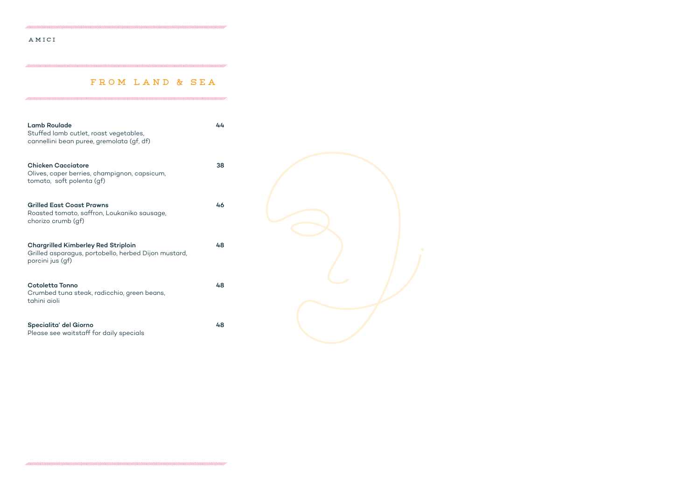## amici

## from land & sea

| <b>Lamb Roulade</b><br>Stuffed lamb cutlet, roast vegetables,<br>cannellini bean puree, gremolata (gf, df)             | 44 |  |
|------------------------------------------------------------------------------------------------------------------------|----|--|
| <b>Chicken Cacciatore</b><br>Olives, caper berries, champignon, capsicum,<br>tomato, soft polenta (gf)                 | 38 |  |
| <b>Grilled East Coast Prawns</b><br>Roasted tomato, saffron, Loukaniko sausage,<br>chorizo crumb (gf)                  | 46 |  |
| <b>Chargrilled Kimberley Red Striploin</b><br>Grilled asparagus, portobello, herbed Dijon mustard,<br>porcini jus (gf) | 48 |  |
| <b>Cotoletta Tonno</b><br>Crumbed tuna steak, radicchio, green beans,<br>tahini aioli                                  | 48 |  |
| Specialita' del Giorno<br>Please see waitstaff for daily specials                                                      | 48 |  |

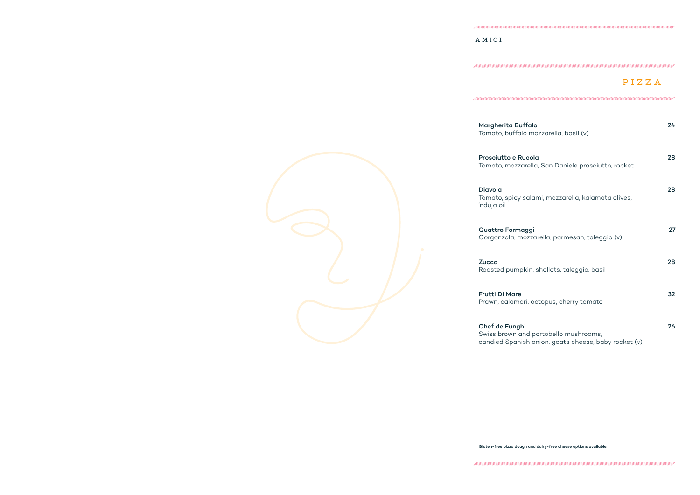#### AMICI

# PIZZA

| Margherita Buffalo<br>Tomato, buffalo mozzarella, basil (v)                                                     | 24 |
|-----------------------------------------------------------------------------------------------------------------|----|
| Prosciutto e Rucola<br>Tomato, mozzarella, San Daniele prosciutto, rocket                                       | 28 |
| <b>Diavola</b><br>Tomato, spicy salami, mozzarella, kalamata olives,<br>'nduja oil                              | 28 |
| <b>Quattro Formaggi</b><br>Gorgonzola, mozzarella, parmesan, taleggio (v)                                       | 27 |
| <b>Zucca</b><br>Roasted pumpkin, shallots, taleggio, basil                                                      | 28 |
| <b>Frutti Di Mare</b><br>Prawn, calamari, octopus, cherry tomato                                                | 32 |
| Chef de Funghi<br>Swiss brown and portobello mushrooms,<br>candied Spanish onion, goats cheese, baby rocket (v) | 26 |

Gluten-free pizza dough and dairy-free cheese options available.